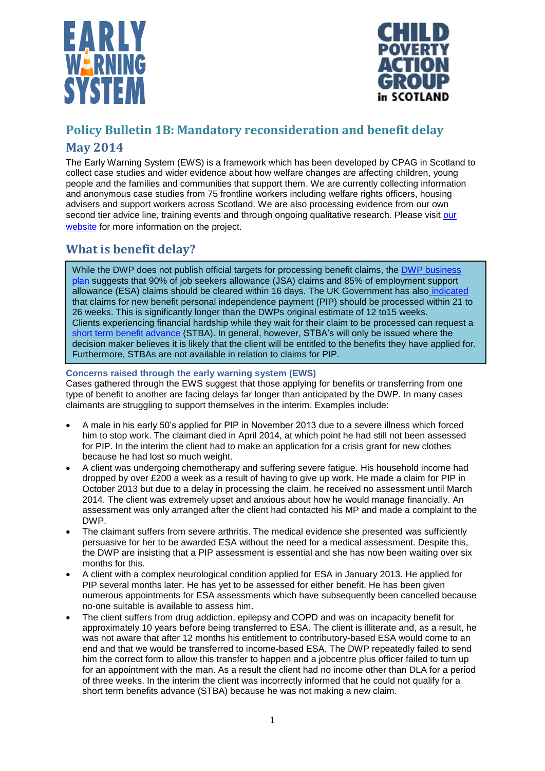



# **Policy Bulletin 1B: Mandatory reconsideration and benefit delay**

## **May 2014**

The Early Warning System (EWS) is a framework which has been developed by CPAG in Scotland to collect case studies and wider evidence about how welfare changes are affecting children, young people and the families and communities that support them. We are currently collecting information and anonymous case studies from 75 frontline workers including welfare rights officers, housing advisers and support workers across Scotland. We are also processing evidence from our own second tier advice line, training events and through ongoing qualitative research. Please visit our [website](http://www.cpag.org.uk/scotland/early-warning-system) for more information on the project.

# **What is benefit delay?**

While the DWP does not publish official targets for processing benefit claims, the DWP business [plan](https://www.whatdotheyknow.com/request/179691/response/440496/attach/3/DWP%20Ops%20Business%20Plan.pdf) suggests that 90% of job seekers allowance (JSA) claims and 85% of employment support allowance (ESA) claims should be cleared within 16 days. The UK Government has also [indicated](https://www.gov.uk/government/publications/pip-claim-process-overview-the-claimant-journey) that claims for new benefit personal independence payment (PIP) should be processed within 21 to 26 weeks. This is significantly longer than the DWPs original estimate of 12 to15 weeks. Clients experiencing financial hardship while they wait for their claim to be processed can request a [short term benefit advance](http://www.cpag.org.uk/stba) (STBA). In general, however, STBA's will only be issued where the decision maker believes it is likely that the client will be entitled to the benefits they have applied for. Furthermore, STBAs are not available in relation to claims for PIP.

### **Concerns raised through the early warning system (EWS)**

Cases gathered through the EWS suggest that those applying for benefits or transferring from one type of benefit to another are facing delays far longer than anticipated by the DWP. In many cases claimants are struggling to support themselves in the interim. Examples include:

- A male in his early 50's applied for PIP in November 2013 due to a severe illness which forced him to stop work. The claimant died in April 2014, at which point he had still not been assessed for PIP. In the interim the client had to make an application for a crisis grant for new clothes because he had lost so much weight.
- A client was undergoing chemotherapy and suffering severe fatigue. His household income had dropped by over £200 a week as a result of having to give up work. He made a claim for PIP in October 2013 but due to a delay in processing the claim, he received no assessment until March 2014. The client was extremely upset and anxious about how he would manage financially. An assessment was only arranged after the client had contacted his MP and made a complaint to the DWP.
- The claimant suffers from severe arthritis. The medical evidence she presented was sufficiently persuasive for her to be awarded ESA without the need for a medical assessment. Despite this, the DWP are insisting that a PIP assessment is essential and she has now been waiting over six months for this.
- A client with a complex neurological condition applied for ESA in January 2013. He applied for PIP several months later. He has yet to be assessed for either benefit. He has been given numerous appointments for ESA assessments which have subsequently been cancelled because no-one suitable is available to assess him.
- The client suffers from drug addiction, epilepsy and COPD and was on incapacity benefit for approximately 10 years before being transferred to ESA. The client is illiterate and, as a result, he was not aware that after 12 months his entitlement to contributory-based ESA would come to an end and that we would be transferred to income-based ESA. The DWP repeatedly failed to send him the correct form to allow this transfer to happen and a jobcentre plus officer failed to turn up for an appointment with the man. As a result the client had no income other than DLA for a period of three weeks. In the interim the client was incorrectly informed that he could not qualify for a short term benefits advance (STBA) because he was not making a new claim.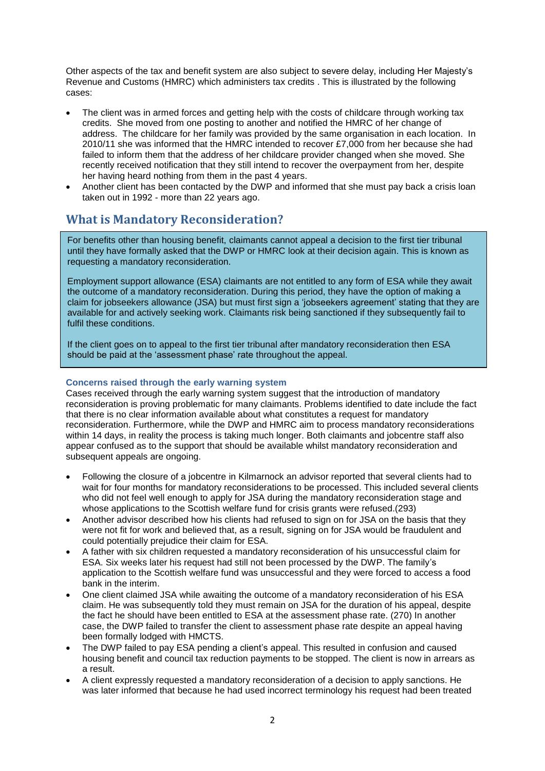Other aspects of the tax and benefit system are also subject to severe delay, including Her Majesty's Revenue and Customs (HMRC) which administers tax credits . This is illustrated by the following cases:

- The client was in armed forces and getting help with the costs of childcare through working tax credits. She moved from one posting to another and notified the HMRC of her change of address. The childcare for her family was provided by the same organisation in each location. In 2010/11 she was informed that the HMRC intended to recover £7,000 from her because she had failed to inform them that the address of her childcare provider changed when she moved. She recently received notification that they still intend to recover the overpayment from her, despite her having heard nothing from them in the past 4 years.
- Another client has been contacted by the DWP and informed that she must pay back a crisis loan taken out in 1992 - more than 22 years ago.

### **What is Mandatory Reconsideration?**

For benefits other than housing benefit, claimants cannot appeal a decision to the first tier tribunal until they have formally asked that the DWP or HMRC look at their decision again. This is known as requesting a mandatory reconsideration.

Employment support allowance (ESA) claimants are not entitled to any form of ESA while they await the outcome of a mandatory reconsideration. During this period, they have the option of making a claim for jobseekers allowance (JSA) but must first sign a 'jobseekers agreement' stating that they are available for and actively seeking work. Claimants risk being sanctioned if they subsequently fail to fulfil these conditions.

If the client goes on to appeal to the first tier tribunal after mandatory reconsideration then ESA should be paid at the 'assessment phase' rate throughout the appeal.

### **Concerns raised through the early warning system**

Cases received through the early warning system suggest that the introduction of mandatory reconsideration is proving problematic for many claimants. Problems identified to date include the fact that there is no clear information available about what constitutes a request for mandatory reconsideration. Furthermore, while the DWP and HMRC aim to process mandatory reconsiderations within 14 days, in reality the process is taking much longer. Both claimants and jobcentre staff also appear confused as to the support that should be available whilst mandatory reconsideration and subsequent appeals are ongoing.

- Following the closure of a jobcentre in Kilmarnock an advisor reported that several clients had to wait for four months for mandatory reconsiderations to be processed. This included several clients who did not feel well enough to apply for JSA during the mandatory reconsideration stage and whose applications to the Scottish welfare fund for crisis grants were refused.(293)
- Another advisor described how his clients had refused to sign on for JSA on the basis that they were not fit for work and believed that, as a result, signing on for JSA would be fraudulent and could potentially prejudice their claim for ESA.
- A father with six children requested a mandatory reconsideration of his unsuccessful claim for ESA. Six weeks later his request had still not been processed by the DWP. The family's application to the Scottish welfare fund was unsuccessful and they were forced to access a food bank in the interim.
- One client claimed JSA while awaiting the outcome of a mandatory reconsideration of his ESA claim. He was subsequently told they must remain on JSA for the duration of his appeal, despite the fact he should have been entitled to ESA at the assessment phase rate. (270) In another case, the DWP failed to transfer the client to assessment phase rate despite an appeal having been formally lodged with HMCTS.
- The DWP failed to pay ESA pending a client's appeal. This resulted in confusion and caused housing benefit and council tax reduction payments to be stopped. The client is now in arrears as a result.
- A client expressly requested a mandatory reconsideration of a decision to apply sanctions. He was later informed that because he had used incorrect terminology his request had been treated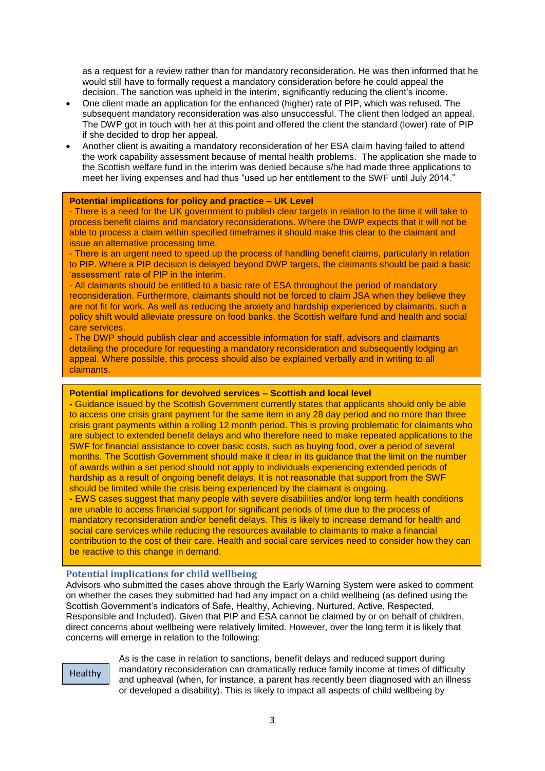as a request for a review rather than for mandatory reconsideration. He was then informed that he would still have to formally request a mandatory consideration before he could appeal the decision. The sanction was upheld in the interim, significantly reducing the client's income.

- One client made an application for the enhanced (higher) rate of PIP, which was refused. The subsequent mandatory reconsideration was also unsuccessful. The client then lodged an appeal. The DWP got in touch with her at this point and offered the client the standard (lower) rate of PIP if she decided to drop her appeal.
- Another client is awaiting a mandatory reconsideration of her ESA claim having failed to attend the work capability assessment because of mental health problems. The application she made to the Scottish welfare fund in the interim was denied because s/he had made three applications to meet her living expenses and had thus "used up her entitlement to the SWF until July 2014."

#### **Potential implications for policy and practice – UK Level**

- There is a need for the UK government to publish clear targets in relation to the time it will take to process benefit claims and mandatory reconsiderations. Where the DWP expects that it will not be able to process a claim within specified timeframes it should make this clear to the claimant and issue an alternative processing time.

- There is an urgent need to speed up the process of handling benefit claims, particularly in relation to PIP. Where a PIP decision is delayed beyond DWP targets, the claimants should be paid a basic 'assessment' rate of PIP in the interim.

- All claimants should be entitled to a basic rate of ESA throughout the period of mandatory reconsideration. Furthermore, claimants should not be forced to claim JSA when they believe they are not fit for work. As well as reducing the anxiety and hardship experienced by claimants, such a policy shift would alleviate pressure on food banks, the Scottish welfare fund and health and social care services.

- The DWP should publish clear and accessible information for staff, advisors and claimants detailing the procedure for requesting a mandatory reconsideration and subsequently lodging an appeal. Where possible, this process should also be explained verbally and in writing to all claimants.

#### **Potential implications for devolved services – Scottish and local level**

**-** Guidance issued by the Scottish Government currently states that applicants should only be able to access one crisis grant payment for the same item in any 28 day period and no more than three crisis grant payments within a rolling 12 month period. This is proving problematic for claimants who are subject to extended benefit delays and who therefore need to make repeated applications to the SWF for financial assistance to cover basic costs, such as buying food, over a period of several months. The Scottish Government should make it clear in its quidance that the limit on the number of awards within a set period should not apply to individuals experiencing extended periods of hardship as a result of ongoing benefit delays. It is not reasonable that support from the SWF should be limited while the crisis being experienced by the claimant is ongoing.

**-** EWS cases suggest that many people with severe disabilities and/or long term health conditions are unable to access financial support for significant periods of time due to the process of mandatory reconsideration and/or benefit delays. This is likely to increase demand for health and social care services while reducing the resources available to claimants to make a financial contribution to the cost of their care. Health and social care services need to consider how they can be reactive to this change in demand.

#### **Potential implications for child wellbeing**

Advisors who submitted the cases above through the Early Warning System were asked to comment on whether the cases they submitted had had any impact on a child wellbeing (as defined using the Scottish Government's indicators of Safe, Healthy, Achieving, Nurtured, Active, Respected, Responsible and Included). Given that PIP and ESA cannot be claimed by or on behalf of children, direct concerns about wellbeing were relatively limited. However, over the long term it is likely that concerns will emerge in relation to the following:

Healthy

As is the case in relation to sanctions, benefit delays and reduced support during mandatory reconsideration can dramatically reduce family income at times of difficulty and upheaval (when, for instance, a parent has recently been diagnosed with an illness or developed a disability). This is likely to impact all aspects of child wellbeing by